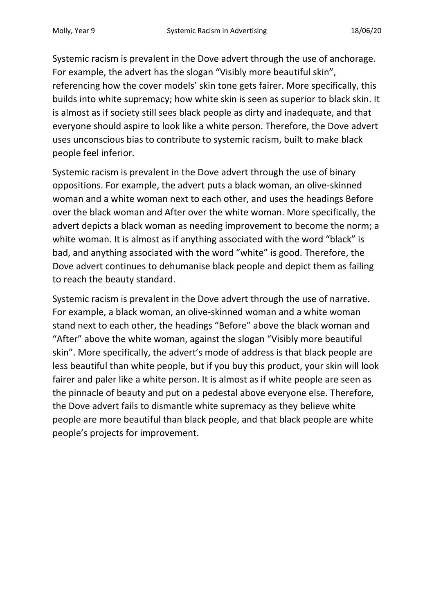Systemic racism is prevalent in the Dove advert through the use of anchorage. For example, the advert has the slogan "Visibly more beautiful skin", referencing how the cover models' skin tone gets fairer. More specifically, this builds into white supremacy; how white skin is seen as superior to black skin. It is almost as if society still sees black people as dirty and inadequate, and that everyone should aspire to look like a white person. Therefore, the Dove advert uses unconscious bias to contribute to systemic racism, built to make black people feel inferior.

Systemic racism is prevalent in the Dove advert through the use of binary oppositions. For example, the advert puts a black woman, an olive-skinned woman and a white woman next to each other, and uses the headings Before over the black woman and After over the white woman. More specifically, the advert depicts a black woman as needing improvement to become the norm; a white woman. It is almost as if anything associated with the word "black" is bad, and anything associated with the word "white" is good. Therefore, the Dove advert continues to dehumanise black people and depict them as failing to reach the beauty standard.

Systemic racism is prevalent in the Dove advert through the use of narrative. For example, a black woman, an olive-skinned woman and a white woman stand next to each other, the headings "Before" above the black woman and "After" above the white woman, against the slogan "Visibly more beautiful skin". More specifically, the advert's mode of address is that black people are less beautiful than white people, but if you buy this product, your skin will look fairer and paler like a white person. It is almost as if white people are seen as the pinnacle of beauty and put on a pedestal above everyone else. Therefore, the Dove advert fails to dismantle white supremacy as they believe white people are more beautiful than black people, and that black people are white people's projects for improvement.